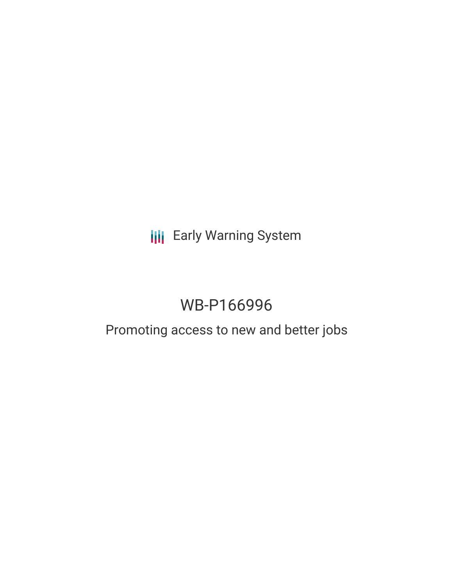# **III** Early Warning System

# WB-P166996

# Promoting access to new and better jobs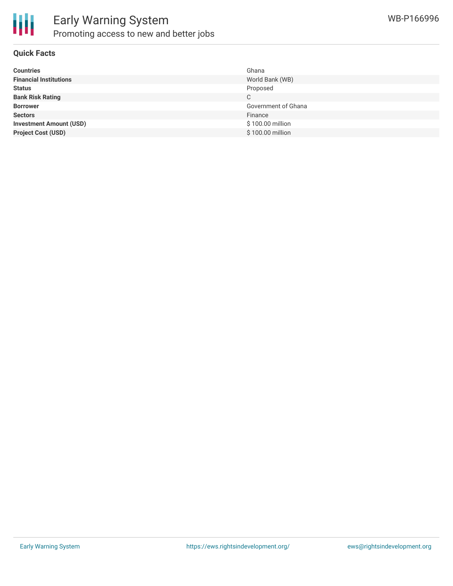

#### **Quick Facts**

| <b>Countries</b>               | Ghana               |
|--------------------------------|---------------------|
| <b>Financial Institutions</b>  | World Bank (WB)     |
| <b>Status</b>                  | Proposed            |
| <b>Bank Risk Rating</b>        | C                   |
| <b>Borrower</b>                | Government of Ghana |
| <b>Sectors</b>                 | Finance             |
| <b>Investment Amount (USD)</b> | \$100.00 million    |
| <b>Project Cost (USD)</b>      | \$100.00 million    |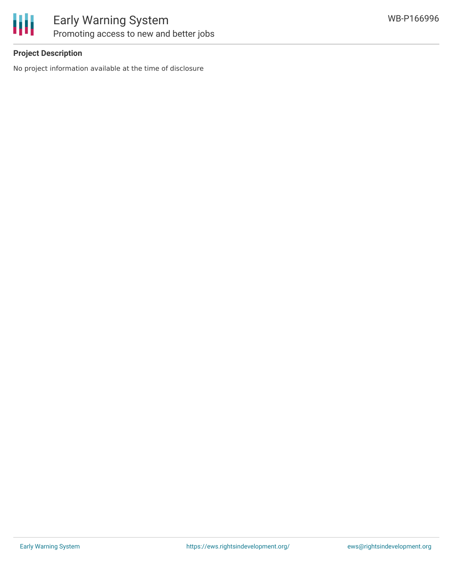

### **Project Description**

No project information available at the time of disclosure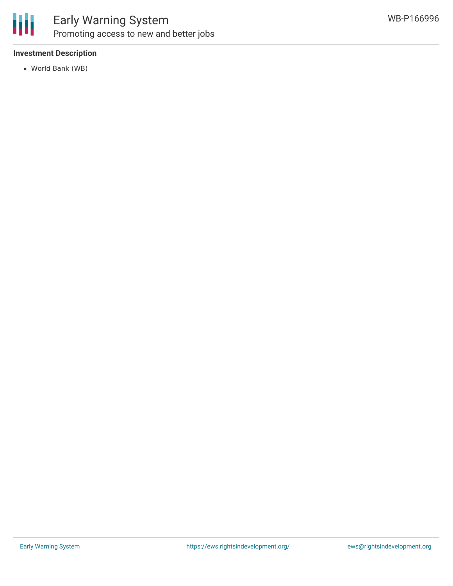

## Early Warning System Promoting access to new and better jobs

### **Investment Description**

World Bank (WB)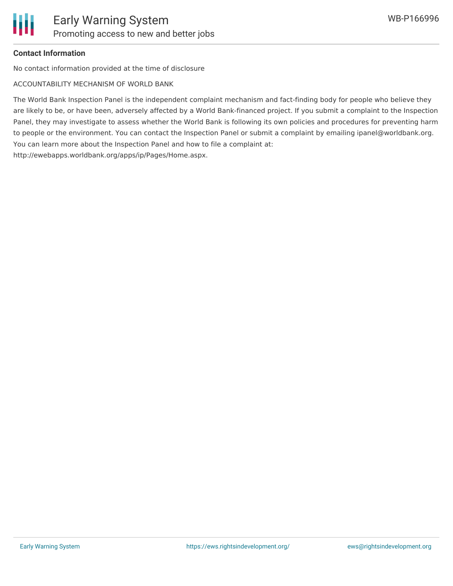### **Contact Information**

No contact information provided at the time of disclosure

ACCOUNTABILITY MECHANISM OF WORLD BANK

The World Bank Inspection Panel is the independent complaint mechanism and fact-finding body for people who believe they are likely to be, or have been, adversely affected by a World Bank-financed project. If you submit a complaint to the Inspection Panel, they may investigate to assess whether the World Bank is following its own policies and procedures for preventing harm to people or the environment. You can contact the Inspection Panel or submit a complaint by emailing ipanel@worldbank.org. You can learn more about the Inspection Panel and how to file a complaint at: http://ewebapps.worldbank.org/apps/ip/Pages/Home.aspx.